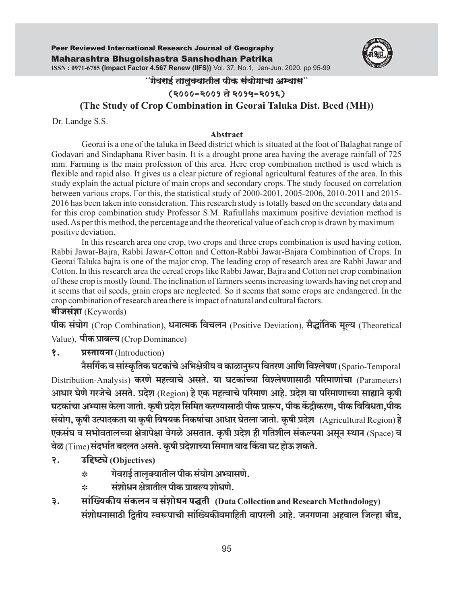

## "गेवराई तालुक्यातील पीक संयोगाचा अभ्यास''

# (२०००-२००१ ते २०१५-२०१६)

# **(The Study of Crop Combination in Georai Taluka Dist. Beed (MH))**

Dr. Landge S.S.

### **Abstract**

Georai is a one of the taluka in Beed district which is situated at the foot of Balaghat range of Godavari and Sindaphana River basin. It is a drought prone area having the average rainfall of 725 mm. Farming is the main profession of this area. Here crop combination method is used which is flexible and rapid also. It gives us a clear picture of regional agricultural features of the area. In this study explain the actual picture of main crops and secondary crops. The study focused on correlation between various crops. For this, the statistical study of 2000-2001, 2005-2006, 2010-2011 and 2015- 2016 has been taken into consideration. This research study is totally based on the secondary data and for this crop combination study Professor S.M. Rafiullahs maximum positive deviation method is used. As per this method, the percentage and the theoretical value of each crop is drawn by maximum positive deviation.

In this research area one crop, two crops and three crops combination is used having cotton, Rabbi Jawar-Bajra, Rabbi Jawar-Cotton and Cotton-Rabbi Jawar-Bajara Combination of Crops. In Georai Taluka bajra is one of the major crop. The leading crop of research area are Rabbi Jawar and Cotton. In this research area the cereal crops like Rabbi Jawar, Bajra and Cotton net crop combination of these crop is mostly found. The inclination of farmers seems increasing towards having net crop and it seems that oil seeds, grain crops are neglected. So it seems that some crops are endangered. In the crop combination of research area there is impact of natural and cultural factors.

बीजसंज्ञा $(Keywords)$ 

पीक संयोग (Crop Combination), धनात्मक विचलन (Positive Deviation), सैद्धांतिक मूल्य (Theoretical Value), **पीक प्राबल्य** (Crop Dominance)

१. प्रस्तावना (Introduction)

नैसर्गिक व सांस्कृतिक घटकांचे अभिक्षेत्रीय व काळानुरूप वितरण आणि विश्लेषण (Spatio-Temporal Distribution-Analysis) करणे महत्वाचे असते. या घटकांच्या विश्लेषणासाठी परिमाणांचा (Parameters) आधार घेणे गरजेचे असते. प्रदेश (Region) हे एक महत्वाचे परिमाण आहे. प्रदेश या परिमाणाच्या साह्याने कुषी घटकांचा अभ्यास केला जातो. कृषी प्रदेश सिमित करण्यासाठी पीक प्रारूप, पीक केंद्रीकरण, पीक विविधता,पीक संयोग, कृषी उत्पादकता या कृषी विषयक निकषांचा आधार घेतला जातो. कृषी प्रदेश (Agricultural Region) हे Eकसंघ व सभोवतालच्या क्षेत्रापेक्षा वेगळे असतात. कृषी प्रदेश ही गतिशील संकल्पना असून स्थान (Space) व वेळ (Time) संदर्भात बदलत असते. कृषी प्रदेशाच्या सिमात वाढ किंवा घट होऊ शकते.

- २. उद्दिष्ट्ये (Objectives)
	- $\ast$   $\qquad$ ाेवराई तालुक्यातील पीक संयोग अभ्यासणे.
	- $\ast$  संशोधन क्षेत्रातील पीक प्राबल्य शोधणे.
- ३. सांख्यिकीय संकलन व संशोधन पद्धती (Data Collection and Research Methodology) संशोधनासाठी द्वितीय स्वरूपाची सांख्यिकीयमाहिती वापरली आहे. जनगणना अहवाल जिल्हा बीड.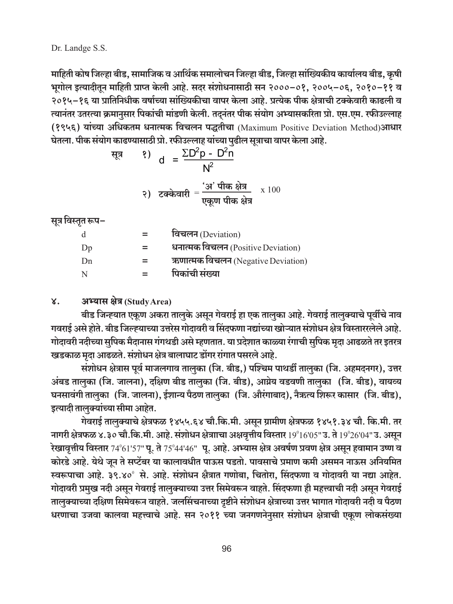Dr. Landge S.S.

माहिती कोष जिल्हा बीड, सामाजिक व आर्थिक समालोचन जिल्हा बीड, जिल्हा सांख्यिकीय कार्यालय बीड, कृषी भूगोल इत्यादीतून माहिती प्राप्त केली आहे. सदर संशोधनासाठी सन २०००–०१, २००५–०६, २०१०–११ व २०१५–१६ या प्रातिनिधीक वर्षाच्या सांख्यिकीचा वापर केला आहे. प्रत्येक पीक क्षेत्राची टक्केवारी काढली व त्यानंतर उतरत्या क्रमानुसार पिकांची मांडणी केली. तदुनंतर पीक संयोग अभ्यासकरिता प्रो. एस.एम. रफीउल्लाह (१९५६) यांच्या अधिकतम धनात्मक विचलन पद्धतीचा (Maximum Positive Deviation Method)आधार घेतला. पीक संयोग काढण्यासाठी प्रो. रफीउल्लाह यांच्या पुढील सूत्राचा वापर केला आहे.

$$
\frac{1}{2} \frac{1}{2} \frac{1}{2} \frac{1}{2} \frac{1}{2} \frac{1}{2} \frac{1}{2} \frac{1}{2} \frac{1}{2} \frac{1}{2} \frac{1}{2} \frac{1}{2} \frac{1}{2} \frac{1}{2} \frac{1}{2} \frac{1}{2} \frac{1}{2} \frac{1}{2} \frac{1}{2} \frac{1}{2} \frac{1}{2} \frac{1}{2} \frac{1}{2} \frac{1}{2} \frac{1}{2} \frac{1}{2} \frac{1}{2} \frac{1}{2} \frac{1}{2} \frac{1}{2} \frac{1}{2} \frac{1}{2} \frac{1}{2} \frac{1}{2} \frac{1}{2} \frac{1}{2} \frac{1}{2} \frac{1}{2} \frac{1}{2} \frac{1}{2} \frac{1}{2} \frac{1}{2} \frac{1}{2} \frac{1}{2} \frac{1}{2} \frac{1}{2} \frac{1}{2} \frac{1}{2} \frac{1}{2} \frac{1}{2} \frac{1}{2} \frac{1}{2} \frac{1}{2} \frac{1}{2} \frac{1}{2} \frac{1}{2} \frac{1}{2} \frac{1}{2} \frac{1}{2} \frac{1}{2} \frac{1}{2} \frac{1}{2} \frac{1}{2} \frac{1}{2} \frac{1}{2} \frac{1}{2} \frac{1}{2} \frac{1}{2} \frac{1}{2} \frac{1}{2} \frac{1}{2} \frac{1}{2} \frac{1}{2} \frac{1}{2} \frac{1}{2} \frac{1}{2} \frac{1}{2} \frac{1}{2} \frac{1}{2} \frac{1}{2} \frac{1}{2} \frac{1}{2} \frac{1}{2} \frac{1}{2} \frac{1}{2} \frac{1}{2} \frac{1}{2} \frac{1}{2} \frac{1}{2} \frac{1}{2} \frac{1}{2} \frac{1}{2} \frac{1}{2} \frac{1}{2} \frac{1}{2} \frac{1}{2} \frac{1}{2} \frac{1}{2} \frac{1}{2} \frac{1}{2} \frac{1}{2} \frac{1}{2} \frac{1}{2} \frac{1}{2} \frac{1}{2} \frac{1}{2} \frac{1}{2} \frac{1}{2} \frac{1
$$

२) टक्केवारी = 
$$
\frac{31 \text{ U} \cdot \text{m} \cdot \text{m}}{\text{एकूण पीक क्षेत्र}
$$
 x 100

सूत्र विस्तृत रूप–

| d  | विचलन (Deviation)                  |
|----|------------------------------------|
| Dp | धनात्मक विचलन (Positive Deviation) |
| Dn | ऋणात्मक विचलन (Negative Deviation) |
| N  | पिकांची संख्या                     |

#### $\mathsf{X}$ . अभ्यास क्षेत्र (Study Area)

बीड जिन्ह्यात एकूण अकरा तालुके असून गेवराई हा एक तालुका आहे. गेवराई तालुक्याचे पूर्वीचे नाव गवराई असे होते. बीड जिल्ह्याच्या उत्तरेस गोदावरी व सिंदफणा नद्यांच्या खोऱ्यात संशोधन क्षेत्र विस्ताररलेले आहे. गोदावरी नदीच्या सुपिक मैदानास गंगथडी असे म्हणतात. या प्रदेशात काळ्या रंगाची सुपिक मृदा आढळते तर इतरत्र खडकाळ मृदा आढळते. संशोधन क्षेत्र बालाघाट डोंगर रांगात पसरले आहे.

संशोधन क्षेत्रास पूर्व माजलगाव तालुका (जि. बीड,) पश्चिम पाथर्डी तालुका (जि. अहमदनगर), उत्तर अंबड तालुका (जि. जालना), दक्षिण बीड तालुका (जि. बीड), आग्नेय वडवणी तालुका (जि. बीड), वायव्य घनसावंगी तालुका (जि. जालना), ईशान्य पैठण तालुका (जि. औरंगाबाद), नैऋत्य शिरूर कासार (जि. बीड), इत्यादी तालुक्यांच्या सीमा आहेत.

गेवराई तालुक्याचे क्षेत्रफळ १४५५.६४ चौ.कि.मी. असून ग्रामीण क्षेत्रफळ १४५१.३४ चौ. कि.मी. तर नागरी क्षेत्रफळ ४.३० चौ.कि.मी. आहे. संशोधन क्षेत्रााचा अक्षवृत्तीय विस्तार 19º16'05" उ. ते 19º26'04" उ. असून रेखावृत्तीय विस्तार 74°61'57" पू. ते 75°44'46" पू. आहे. अभ्यास क्षेत्र अवर्षण प्रवण क्षेत्र असून हवामान उष्ण व कोरडे आहे. येथे जून ते सप्टेंबर या कालावधीत पाऊस पडतो. पावसाचे प्रमाण कमी असमन नाऊस अनियमित स्वरूपाचा आहे. ३९.४०° से. आहे. संशोधन क्षैत्रात गणोबा, चितोरा, सिंदफणा व गोदावरी या नद्या आहेत. गोदावरी प्रमुख नदी असून गेवराई तालुक्याच्या उत्तर सिमेवरून वाहते. सिंदफणा ही महत्त्वाची नदी असून गेवराई तालुक्याच्या दक्षिण सिमेवरून वाहते. जलसिंचनाच्या दृष्टीने संशोधन क्षेत्राच्या उत्तर भागात गोदावरी नदी व पैठण धरणाचा उजवा कालवा महत्त्वाचे आहे. सन २०११ च्या जनगणनेनुसार संशोधन क्षेत्राची एकूण लोकसंख्या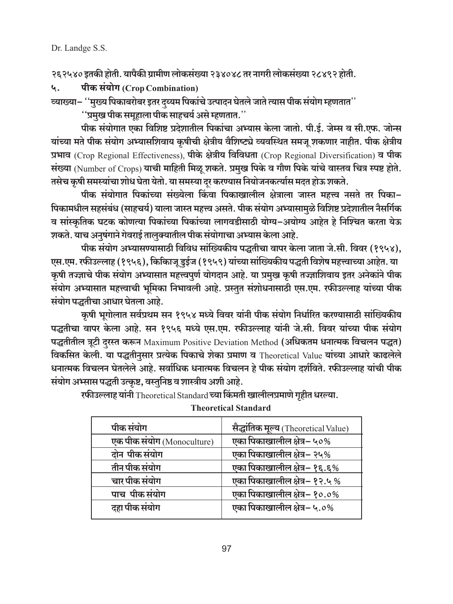Dr. Landge S.S.

२६२५४० इतकी होती. यापैकी ग्रामीण लोकसंख्या २३४०४८ तर नागरी लोकसंख्या २८४९२ होती.

पीक संयोग (Crop Combination) ५.

ंव्याख्या– ''मुख्य पिकाबरोबर इतर दय्यम पिकांचे उत्पादन घेतले जाते त्यास पीक संयोग म्हणतात''

''प्रमुख पीक समुहाला पीक साहचर्य असे म्हणतात.''

पीक संयोगात एका विशिष्ट प्रदेशातील पिकांचा अभ्यास केला जातो. पी.ई. जेम्स व सी.एफ. जोन्स यांच्या मते पीक संयोग अभ्यासशिवाय कुषीची क्षेत्रीय वैशिष्ट्ये व्यवस्थित समजू शकणार नाहीत. पीक क्षेत्रीय प्रभाव (Crop Regional Effectiveness), पीके क्षेत्रीय विविधता (Crop Regional Diversification) व पीक संख्या (Number of Crops) याची माहिती मिळू शकते. प्रमुख पिके व गौण पिके यांचे वास्तव चित्र स्पष्ट होते. तसेच कृषी समस्यांचा शोध घेता येतो. या समस्या दर करण्यास नियोजनकर्त्यास मदत होऊ शकते.

पीक संयोगात पिकांच्या संख्येला किंवा पिकाखालील क्षेत्राला जास्त महत्त्व नसते तर पिका-पिकामधील सहसंबंध (साहचर्य) याला जास्त महत्त्व असते. पीक संयोग अभ्यासामुळे विशिष्ट प्रदेशातील नैसर्गिक व सांस्कृतिक घटक कोणत्या पिकांच्या पिकांच्या लागवडीसाठी योग्य-अयोग्य आहेत हे निश्चित करता येऊ शकते. याच अनुषंगाने गेवराई तालुक्यातील पीक संयोगाचा अभ्यास केला आहे.

पीक संयोग अभ्यासण्यासाठी विविध सांख्यिकीय पद्धतीचा वापर केला जाता जे.सी. विवर (१९५४), एस.एम. रफीउल्लाह (१९५६), किकािजू डुईज (१९५९) यांच्या सांख्यिकीय पद्धती विशेष महत्त्वाच्या आहेत. या कृषी तज्ज्ञाचे पीक संयोग अभ्यासात महत्त्वपूर्ण योगदान आहे. या प्रमुख कृषी तज्ज्ञाशिवाय इतर अनेकांने पीक संयोग अभ्यासात महत्त्वाची भूमिका निभावली आहे. प्रस्तुत संशोधनासाठी एस.एम. रफीउल्लाह यांच्या पीक संयोग पद्धतीचा आधार घेतला आहे.

कुषी भूगोलात सर्वप्रथम सन १९५४ मध्ये विवर यांनी पीक संयोग निर्धारित करण्यासाठी सांख्यिकीय पद्धतीचा वापर केला आहे. सन १९५६ मध्ये एस.एम. रफीउल्लाह यांनी जे.सी. विवर यांच्या पीक संयोग पद्धतीतील त्रूटी दरस्त करून Maximum Positive Deviation Method (अधिकतम धनात्मक विचलन पद्धत) विकसित केली. या पद्धतीनुसार प्रत्येक पिकाचे शेका प्रमाण व Theoretical Value यांच्या आधारे काढलेले धनात्मक विचलन घेतलेले आहे. सर्वाधिक धनात्मक विचलन हे पीक संयोग दर्शविते. रफीउल्लाह यांची पीक संयोग अभ्सास पद्धती उत्कृष्ट, वस्तुनिष्ठ व शास्त्रीय अशी आहे.

| पीक संयोग                  | सैद्धांतिक मूल्य (Theoretical Value) |
|----------------------------|--------------------------------------|
| एक पीक संयोग (Monoculture) | एका पिकाखालील क्षेत्र– ५०%           |
| दोन पीक संयोग              | एका पिकाखालील क्षेत्र– २५%           |
| तीन पीक संयोग              | एका पिकाखालील क्षेत्र– १६.६%         |
| चार पीक संयोग              | एका पिकाखालील क्षेत्र– १२.५ %        |
| पाच पीक संयोग              | एका पिकाखालील क्षेत्र– १०.०%         |
| दहा पीक संयोग              | एका पिकाखालील क्षेत्र– ५.०%          |
|                            |                                      |

रफीउल्लाह यांनी Theoretical Standard च्या किंमती खालीलप्रमाणे गृहीत धरल्या.

**Theoretical Standard**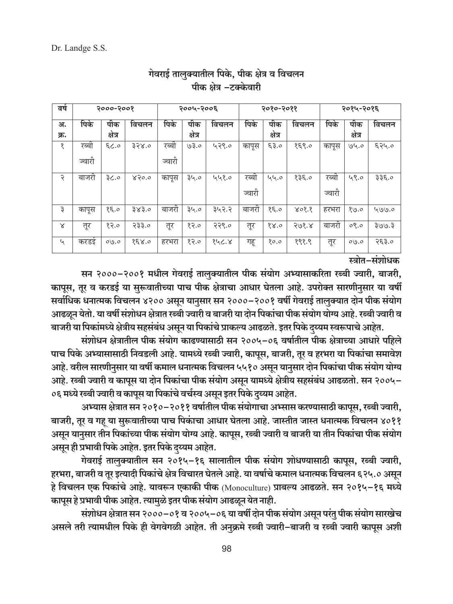| वर्ष                        | २०००-२००१       |                | २००५-२००६ |                 |                | २०१०-२०११ |                 |                | २०१५-२०१६ |                 |                |       |
|-----------------------------|-----------------|----------------|-----------|-----------------|----------------|-----------|-----------------|----------------|-----------|-----------------|----------------|-------|
| अ.<br>क्र.                  | पिके            | पीक<br>क्षेत्र | विचलन     | पिके            | पीक<br>क्षेत्र | विचलन     | पिके            | पीक<br>क्षेत्र | विचलन     | पिके            | पीक<br>क्षेत्र | विचलन |
| १                           | रब्बा<br>ज्वारी | 6.33           | 358.0     | रब्बा<br>ज्वारी | 03.0           | 429.0     | कापूस           | 63.0           | 858.0     | कापूस           | 94.0           | ६२५.० |
| २                           | बाजरा           | ३८.०           | 850.0     | कापूस           | ३५.०           | ५५१.०     | रब्बा<br>ज्वारी | ५५.०           | 835.0     | रब्बा<br>ज्वारी | 49.0           | ३३६.० |
| ₹                           | कापूस           | 85.0           | 383.0     | बाजरो           | ३५.०           | ३५२.२     | बाजरी           | 85.0           | 808.8     | हरभरा           | 89.0           | 499.0 |
| Χ                           | तूर             | 82.0           | २३३.०     | तूर             | 82.0           | २२९.०     | तूर             | 88.0           | 308.8     | बाजरो           | $0$ , $9$      | 5.005 |
| $\mathcal{L}_{\mathcal{A}}$ | करडइ            | $0\sqrt{9.0}$  | 858.0     | हरभरा           | 82.0           | १५८.४     | गहू             | 80.0           | १९१.९     | तूर             | $0\sqrt{9.0}$  | २६३.० |

# गेवराई तालुक्यातील पिके, पीक क्षेत्र व विचलन पीक क्षेत्र -टक्केवारी

स्त्रोत-संशोधक

सन २०००-२००१ मधील गेवराई तालुक्यातील पीक संयोग अभ्यासाकरिता रब्बी ज्वारी, बाजरी, कापूस, तूर व करडई या सुरूवातीच्या पाच पीक क्षेत्राचा आधार घेतला आहे. उपरोक्त सारणीनुसार या वर्षी सर्वाधिक धनात्मक विचलन ४२०० असून यानुसार सन २०००–२००१ वर्षी गेवराई तालुक्यात दोन पीक संयोग आढळून येतो. या वर्षी संशोधन क्षेत्रात रब्बी ज्वारी व बाजरी या दोन पिकांचा पीक संयोग योग्य आहे. रब्बी ज्वारी व बाजरी या पिकांमध्ये क्षेत्रीय सहसंबंध असून या पिकांचे प्राकल्य आढळते. इतर पिके दुय्यम स्वरूपाचे आहेत.

संशोधन क्षेत्रातील पीक संयोग काढण्यासाठी सन २००५-०६ वर्षातील पीक क्षेत्राच्या आधारे पहिले पाच पिके अभ्यासासाठी निवडली आहे. यामध्ये रब्बी ज्वारी, कापूस, बाजरी, तूर व हरभरा या पिकांचा समावेश आहे. वरील सारणीनुसार या वर्षी कमाल धनात्मक विचलन ५५१० असून यानुसार दोन पिकांचा पीक संयोग योग्य आहे. रब्बी ज्वारी व कापूस या दोन पिकांचा पीक संयोग असून यामध्ये क्षेत्रीय सहसंबंध आढळतो. सन २००५– ०६ मध्ये रब्बी ज्वारी व कापूस या पिकांचे वर्चस्व असून इतर पिके दुय्यम आहेत.

अभ्यास क्षेत्रात सन २०१०–२०११ वर्षातील पीक संयोगाचा अभ्सास करण्यासाठी कापूस, रब्बी ज्वारी, बाजरी, तूर व गह या सुरूवातीच्या पाच पिकांचा आधार घेतला आहे. जास्तीत जास्त धनात्मक विचलन ४०११ असून यानुसार तीन पिकांच्या पीक संयोग योग्य आहे. कापूस, रब्बी ज्वारी व बाजरी या तीन पिकांचा पीक संयोग असून ही प्रभावी पिके आहेत. इतर पिके दय्यम आहेत.

गेवराई तालुक्यातील सन २०१५-१६ सालातील पीक संयोग शोधण्यासाठी कापूस, रब्बी ज्वारी, हरभरा, बाजरी व तूर इत्यादी पिकांचे क्षेत्र विचारत घेतले आहे. या वर्षाचे कमाल धनात्मक विचलन ६२५.० असून हे विचलन एक पिकांचे आहे. यावरून एकाकी पीक (Monoculture) प्राबल्य आढळते. सन २०१५-१६ मध्ये कापूस हे प्रभावी पीक आहेत. त्यामुळे इतर पीक संयोग आढळून येत नाही.

संशोधन क्षेत्रात सन २०००–०१ व २००५–०६ या वर्षी दोन पीक संयोग असून परंतु पीक संयोग सारखेच असले तरी त्यामधील पिके ही वेगवेगळी आहेत. ती अनुक्रमे रब्बी ज्वारी-बाजरी व रब्बी ज्वारी कापुस अशी